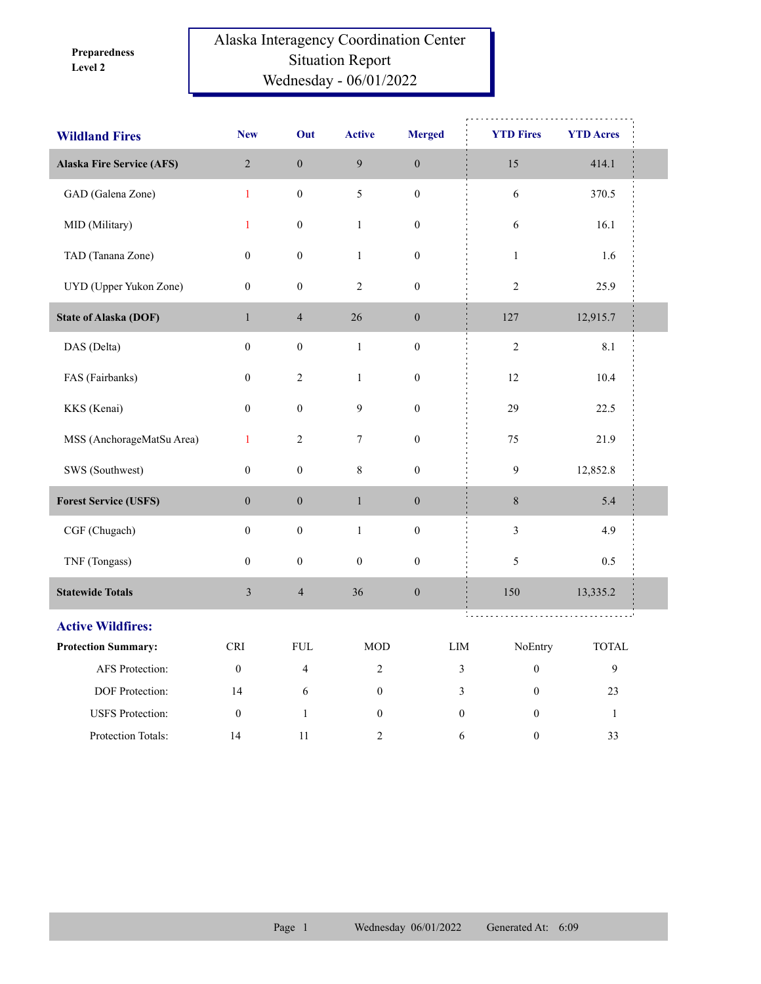**Level 2 Preparedness** 

## Alaska Interagency Coordination Center Situation Report Wednesday - 06/01/2022

| <b>Wildland Fires</b>            | <b>New</b>       | Out              | <b>Active</b>    | <b>Merged</b>    | <b>YTD Fires</b> | <b>YTD</b> Acres |  |
|----------------------------------|------------------|------------------|------------------|------------------|------------------|------------------|--|
| <b>Alaska Fire Service (AFS)</b> | $\overline{2}$   | $\boldsymbol{0}$ | 9                | $\boldsymbol{0}$ | 15               | 414.1            |  |
| GAD (Galena Zone)                | $\mathbf{1}$     | $\boldsymbol{0}$ | 5                | $\boldsymbol{0}$ | $\sqrt{6}$       | 370.5            |  |
| MID (Military)                   | $\mathbf{1}$     | $\boldsymbol{0}$ | $\,1\,$          | $\boldsymbol{0}$ | $\sqrt{6}$       | 16.1             |  |
| TAD (Tanana Zone)                | $\boldsymbol{0}$ | $\boldsymbol{0}$ | $\mathbf{1}$     | $\boldsymbol{0}$ | $\mathbf{1}$     | 1.6              |  |
| UYD (Upper Yukon Zone)           | $\mathbf{0}$     | $\boldsymbol{0}$ | $\sqrt{2}$       | $\boldsymbol{0}$ | $\sqrt{2}$       | 25.9             |  |
| <b>State of Alaska (DOF)</b>     | $\mathbf{1}$     | $\overline{4}$   | 26               | $\boldsymbol{0}$ | 127              | 12,915.7         |  |
| DAS (Delta)                      | $\boldsymbol{0}$ | $\boldsymbol{0}$ | $\mathbf{1}$     | $\boldsymbol{0}$ | $\overline{c}$   | 8.1              |  |
| FAS (Fairbanks)                  | $\mathbf{0}$     | $\sqrt{2}$       | $\mathbf{1}$     | $\boldsymbol{0}$ | 12               | 10.4             |  |
| KKS (Kenai)                      | $\boldsymbol{0}$ | $\boldsymbol{0}$ | $\boldsymbol{9}$ | $\boldsymbol{0}$ | 29               | 22.5             |  |
| MSS (AnchorageMatSu Area)        | $\mathbf{1}$     | $\boldsymbol{2}$ | $\tau$           | $\boldsymbol{0}$ | 75               | 21.9             |  |
| SWS (Southwest)                  | $\boldsymbol{0}$ | $\boldsymbol{0}$ | 8                | $\boldsymbol{0}$ | $\mathbf{9}$     | 12,852.8         |  |
| <b>Forest Service (USFS)</b>     | $\boldsymbol{0}$ | $\boldsymbol{0}$ | $\,1$            | $\boldsymbol{0}$ | $8\,$            | 5.4              |  |
| CGF (Chugach)                    | $\overline{0}$   | $\boldsymbol{0}$ | $\mathbf{1}$     | $\boldsymbol{0}$ | $\mathfrak{Z}$   | 4.9              |  |
| TNF (Tongass)                    | $\boldsymbol{0}$ | $\boldsymbol{0}$ | $\boldsymbol{0}$ | $\boldsymbol{0}$ | 5                | 0.5              |  |
| <b>Statewide Totals</b>          | $\overline{3}$   | $\overline{4}$   | 36               | $\boldsymbol{0}$ | 150              | 13,335.2         |  |
| <b>Active Wildfires:</b>         |                  |                  |                  |                  | t.               |                  |  |
| <b>Protection Summary:</b>       | <b>CRI</b>       | <b>FUL</b>       | <b>MOD</b>       | LIM              | NoEntry          | <b>TOTAL</b>     |  |
| AFS Protection:                  | $\boldsymbol{0}$ | $\overline{4}$   | $\overline{2}$   | 3                | $\boldsymbol{0}$ | $\mathbf{9}$     |  |
| DOF Protection:                  | 14               | 6                | $\boldsymbol{0}$ | 3                | $\boldsymbol{0}$ | 23               |  |
| <b>USFS</b> Protection:          | $\boldsymbol{0}$ | $\mathbf{1}$     | $\boldsymbol{0}$ | $\boldsymbol{0}$ | $\mathbf{0}$     | $\mathbf{1}$     |  |
| Protection Totals:               | 14               | 11               | 2                | 6                | $\boldsymbol{0}$ | 33               |  |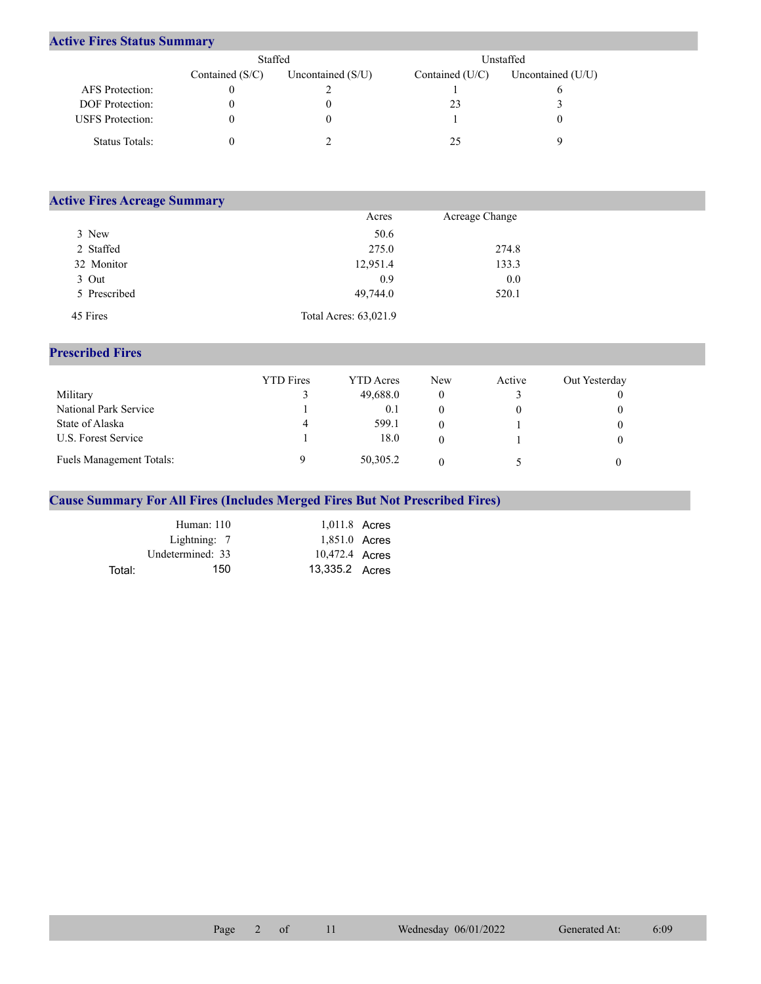## **Active Fires Status Summary**

|                         | Staffed           |                     | Unstaffed       |                   |  |
|-------------------------|-------------------|---------------------|-----------------|-------------------|--|
|                         | Contained $(S/C)$ | Uncontained $(S/U)$ | Contained (U/C) | Uncontained (U/U) |  |
| <b>AFS</b> Protection:  |                   |                     |                 |                   |  |
| <b>DOF</b> Protection:  |                   |                     | 23              |                   |  |
| <b>USFS</b> Protection: |                   |                     |                 |                   |  |
| Status Totals:          |                   |                     |                 |                   |  |

| <b>Active Fires Acreage Summary</b> |                       |                |  |
|-------------------------------------|-----------------------|----------------|--|
|                                     | Acres                 | Acreage Change |  |
| 3 New                               | 50.6                  |                |  |
| 2 Staffed                           | 275.0                 | 274.8          |  |
| 32 Monitor                          | 12,951.4              | 133.3          |  |
| 3 Out                               | 0.9                   | 0.0            |  |
| 5 Prescribed                        | 49,744.0              | 520.1          |  |
| 45 Fires                            | Total Acres: 63,021.9 |                |  |

## **Prescribed Fires**

|                                 | <b>YTD</b> Fires | <b>YTD</b> Acres | <b>New</b> | Active | Out Yesterday |
|---------------------------------|------------------|------------------|------------|--------|---------------|
| Military                        |                  | 49,688.0         |            |        |               |
| National Park Service           |                  | 0.1              |            |        |               |
| State of Alaska                 | 4                | 599.1            |            |        |               |
| U.S. Forest Service             |                  | 18.0             |            |        |               |
| <b>Fuels Management Totals:</b> |                  | 50,305.2         |            |        |               |

## **Cause Summary For All Fires (Includes Merged Fires But Not Prescribed Fires)**

|        | Human: 110       | 1,011.8 Acres  |  |
|--------|------------------|----------------|--|
|        | Lightning: 7     | 1,851.0 Acres  |  |
|        | Undetermined: 33 | 10,472.4 Acres |  |
| Total: | 150              | 13,335.2 Acres |  |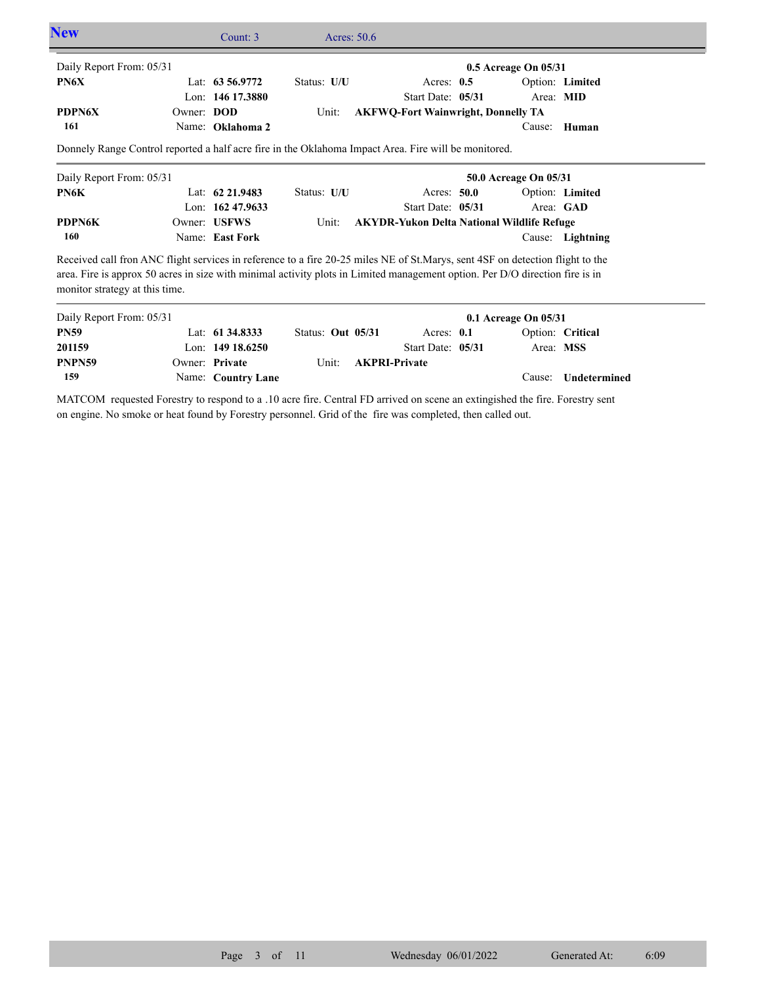| <b>New</b>               |                   | Count: 3           | Acres: $50.6$ |                                                                                                                               |                          |                  |  |
|--------------------------|-------------------|--------------------|---------------|-------------------------------------------------------------------------------------------------------------------------------|--------------------------|------------------|--|
| Daily Report From: 05/31 |                   |                    |               |                                                                                                                               | $0.5$ Acreage On $05/31$ |                  |  |
| PN6X                     |                   | Lat: $63\,56.9772$ | Status: U/U   | Acres: $0.5$                                                                                                                  |                          | Option: Limited  |  |
|                          |                   | Lon: 146 17.3880   |               | Start Date: 05/31                                                                                                             | Area: MID                |                  |  |
| <b>PDPN6X</b>            | Owner: <b>DOD</b> |                    | Unit:         | <b>AKFWQ-Fort Wainwright, Donnelly TA</b>                                                                                     |                          |                  |  |
| 161                      |                   | Name: Oklahoma 2   |               |                                                                                                                               | Cause:                   | Human            |  |
|                          |                   |                    |               |                                                                                                                               |                          |                  |  |
|                          |                   |                    |               |                                                                                                                               |                          |                  |  |
| Daily Report From: 05/31 |                   |                    |               |                                                                                                                               | 50.0 Acreage On 05/31    |                  |  |
| PN6K                     |                   | Lat: $62\,21.9483$ | Status: U/U   | Acres: $50.0$                                                                                                                 |                          | Option: Limited  |  |
|                          |                   | Lon: $16247.9633$  |               | Start Date: 05/31                                                                                                             |                          | Area: GAD        |  |
| PDPN6K                   |                   | Owner: USFWS       | Unit:         | <b>AKYDR-Yukon Delta National Wildlife Refuge</b>                                                                             |                          |                  |  |
| 160                      |                   | Name: East Fork    |               |                                                                                                                               |                          | Cause: Lightning |  |
|                          |                   |                    |               | Received call fron ANC flight services in reference to a fire 20-25 miles NE of St.Marys, sent 4SF on detection flight to the |                          |                  |  |
|                          |                   |                    |               | area. Fire is approx 50 acres in size with minimal activity plots in Limited management option. Per D/O direction fire is in  |                          |                  |  |

| Daily Report From: 05/31 |                    |                   |                            |                   | $0.1$ Acreage On $05/31$ |                            |
|--------------------------|--------------------|-------------------|----------------------------|-------------------|--------------------------|----------------------------|
| <b>PN59</b>              | Lat: 61 34.8333    | Status: Out 05/31 |                            | Acres: $0.1$      | Option: Critical         |                            |
| 201159                   | Lon: $14918.6250$  |                   |                            | Start Date: 05/31 | Area: MSS                |                            |
| PNPN59                   | Owner: Private     |                   | Unit: <b>AKPRI-Private</b> |                   |                          |                            |
| 159                      | Name: Country Lane |                   |                            |                   |                          | Cause: <b>Undetermined</b> |

MATCOM requested Forestry to respond to a .10 acre fire. Central FD arrived on scene an extingished the fire. Forestry sent on engine. No smoke or heat found by Forestry personnel. Grid of the fire was completed, then called out.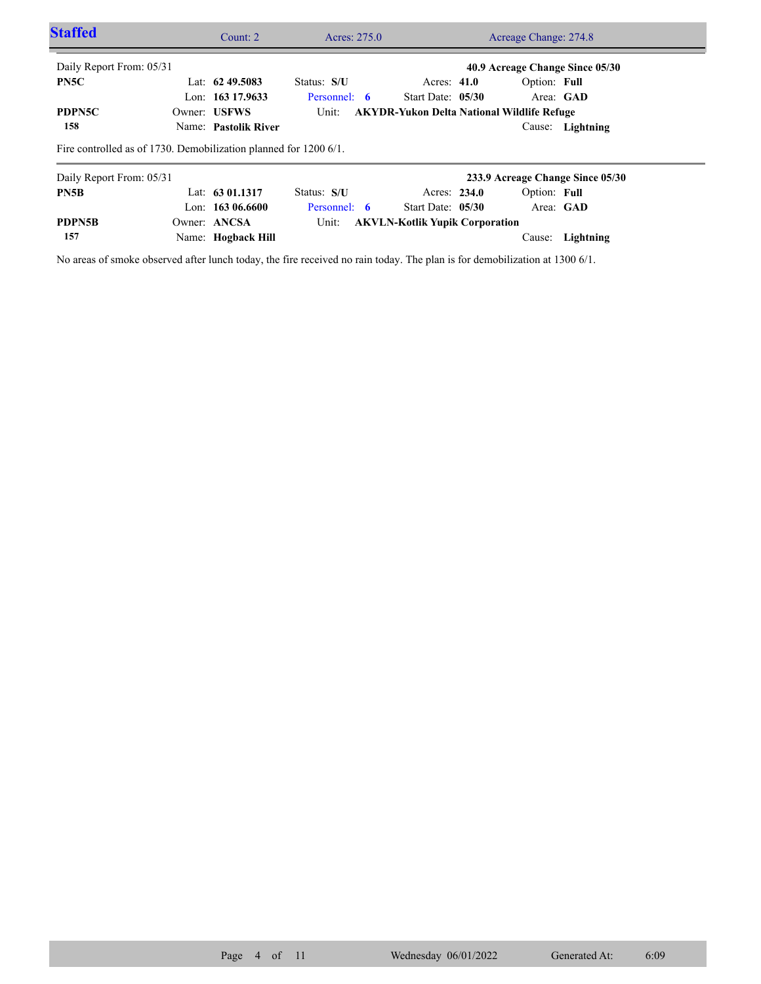| <b>Staffed</b>           | Count: $2 \overline{ }$                                          | Acres: 275.0 |                                                   | Acreage Change: 274.8            |  |
|--------------------------|------------------------------------------------------------------|--------------|---------------------------------------------------|----------------------------------|--|
| Daily Report From: 05/31 |                                                                  |              |                                                   | 40.9 Acreage Change Since 05/30  |  |
| PN5C                     | Lat: $62\,49.5083$                                               | Status: S/U  | Acres: $41.0$                                     | Option: Full                     |  |
|                          | Lon: 163 17.9633                                                 | Personnel: 6 | Start Date: 05/30                                 | Area: GAD                        |  |
| PDPN5C                   | Owner: USFWS                                                     | Unit:        | <b>AKYDR-Yukon Delta National Wildlife Refuge</b> |                                  |  |
| 158                      | Name: Pastolik River                                             |              |                                                   | Cause: Lightning                 |  |
|                          | Fire controlled as of 1730. Demobilization planned for 1200 6/1. |              |                                                   |                                  |  |
| Daily Report From: 05/31 |                                                                  |              |                                                   | 233.9 Acreage Change Since 05/30 |  |
| PN <sub>5</sub> B        | Lat: $6301.1317$                                                 | Status: S/U  | Acres: 234.0                                      | Option: Full                     |  |
|                          | Lon: $16306.6600$                                                | Personnel: 6 | Start Date: $05/30$                               | Area: GAD                        |  |
| PDPN5B                   | Owner: ANCSA                                                     | Unit:        | <b>AKVLN-Kotlik Yupik Corporation</b>             |                                  |  |
| 157                      | Name: Hogback Hill                                               |              |                                                   | Lightning<br>Cause:              |  |

No areas of smoke observed after lunch today, the fire received no rain today. The plan is for demobilization at 1300 6/1.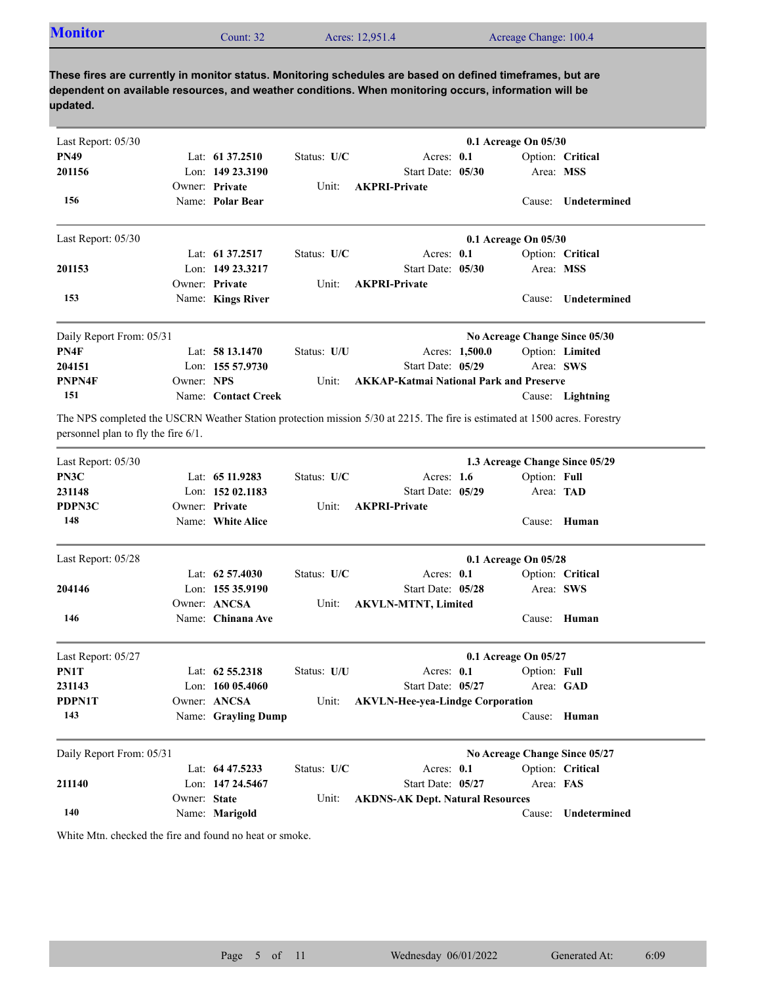| <b>Monitor</b> | Count: 32 | Acres: 12,951.4 | Acreage Change: 100.4 |
|----------------|-----------|-----------------|-----------------------|
|                |           |                 |                       |

| Last Report: 05/30                     |              |                     |             |                                                                                                                            | 0.1 Acreage On 05/30 |              |                                |
|----------------------------------------|--------------|---------------------|-------------|----------------------------------------------------------------------------------------------------------------------------|----------------------|--------------|--------------------------------|
| <b>PN49</b>                            |              | Lat: 61 37.2510     | Status: U/C | Acres: 0.1                                                                                                                 |                      |              | Option: Critical               |
| 201156                                 |              | Lon: 149 23.3190    |             | Start Date: 05/30                                                                                                          |                      |              | Area: MSS                      |
|                                        |              | Owner: Private      | Unit:       | <b>AKPRI-Private</b>                                                                                                       |                      |              |                                |
| 156                                    |              | Name: Polar Bear    |             |                                                                                                                            |                      |              | Cause: Undetermined            |
| Last Report: 05/30                     |              |                     |             |                                                                                                                            | 0.1 Acreage On 05/30 |              |                                |
|                                        |              | Lat: 61 37.2517     | Status: U/C | Acres: 0.1                                                                                                                 |                      |              | Option: Critical               |
| 201153                                 |              | Lon: 149 23.3217    |             | Start Date: 05/30                                                                                                          |                      |              | Area: MSS                      |
|                                        |              | Owner: Private      | Unit:       | <b>AKPRI-Private</b>                                                                                                       |                      |              |                                |
| 153                                    |              | Name: Kings River   |             |                                                                                                                            |                      | Cause:       | Undetermined                   |
| Daily Report From: 05/31               |              |                     |             |                                                                                                                            |                      |              | No Acreage Change Since 05/30  |
| PN4F                                   |              | Lat: $5813.1470$    | Status: U/U |                                                                                                                            | Acres: 1,500.0       |              | Option: Limited                |
| 204151                                 |              | Lon: $15557.9730$   |             | Start Date: 05/29                                                                                                          |                      |              | Area: SWS                      |
| PNPN4F                                 | Owner: NPS   |                     | Unit:       | <b>AKKAP-Katmai National Park and Preserve</b>                                                                             |                      |              |                                |
| 151                                    |              | Name: Contact Creek |             |                                                                                                                            |                      |              | Cause: Lightning               |
|                                        |              |                     |             |                                                                                                                            |                      |              |                                |
| personnel plan to fly the fire $6/1$ . |              |                     |             | The NPS completed the USCRN Weather Station protection mission 5/30 at 2215. The fire is estimated at 1500 acres. Forestry |                      |              |                                |
| Last Report: 05/30                     |              |                     |             |                                                                                                                            |                      |              | 1.3 Acreage Change Since 05/29 |
| PN3C                                   |              | Lat: 65 11.9283     | Status: U/C | Acres: $1.6$                                                                                                               |                      | Option: Full |                                |
| 231148                                 |              | Lon: 152 02.1183    |             | Start Date: 05/29                                                                                                          |                      |              | Area: TAD                      |
| PDPN3C                                 |              | Owner: Private      | Unit:       | <b>AKPRI-Private</b>                                                                                                       |                      |              |                                |
| 148                                    |              | Name: White Alice   |             |                                                                                                                            |                      |              | Cause: Human                   |
| Last Report: 05/28                     |              |                     |             |                                                                                                                            | 0.1 Acreage On 05/28 |              |                                |
|                                        |              | Lat: $62\,57.4030$  | Status: U/C | Acres: $0.1$                                                                                                               |                      |              | Option: Critical               |
| 204146                                 |              | Lon: $15535.9190$   |             | Start Date: 05/28                                                                                                          |                      |              | Area: SWS                      |
|                                        |              | Owner: ANCSA        | Unit:       | <b>AKVLN-MTNT, Limited</b>                                                                                                 |                      |              |                                |
| 146                                    |              | Name: Chinana Ave   |             |                                                                                                                            |                      |              | Cause: Human                   |
| Last Report: 05/27                     |              |                     |             |                                                                                                                            | 0.1 Acreage On 05/27 |              |                                |
| PN1T                                   |              | Lat: 62 55.2318     | Status: U/U | Acres: 0.1                                                                                                                 |                      | Option: Full |                                |
| 231143                                 |              | Lon: $16005.4060$   |             | Start Date: 05/27                                                                                                          |                      |              | Area: GAD                      |
| PDPN1T                                 |              | Owner: ANCSA        | Unit:       | <b>AKVLN-Hee-yea-Lindge Corporation</b>                                                                                    |                      |              |                                |
| 143                                    |              | Name: Grayling Dump |             |                                                                                                                            |                      |              | Cause: Human                   |
| Daily Report From: 05/31               |              |                     |             |                                                                                                                            |                      |              | No Acreage Change Since 05/27  |
|                                        |              | Lat: 64 47.5233     | Status: U/C | Acres: 0.1                                                                                                                 |                      |              | Option: Critical               |
| 211140                                 |              | Lon: 147 24.5467    |             | Start Date: 05/27                                                                                                          |                      | Area: FAS    |                                |
|                                        | Owner: State |                     | Unit:       | <b>AKDNS-AK Dept. Natural Resources</b>                                                                                    |                      |              |                                |
| 140                                    |              | Name: Marigold      |             |                                                                                                                            |                      | Cause:       | Undetermined                   |

White Mtn. checked the fire and found no heat or smoke.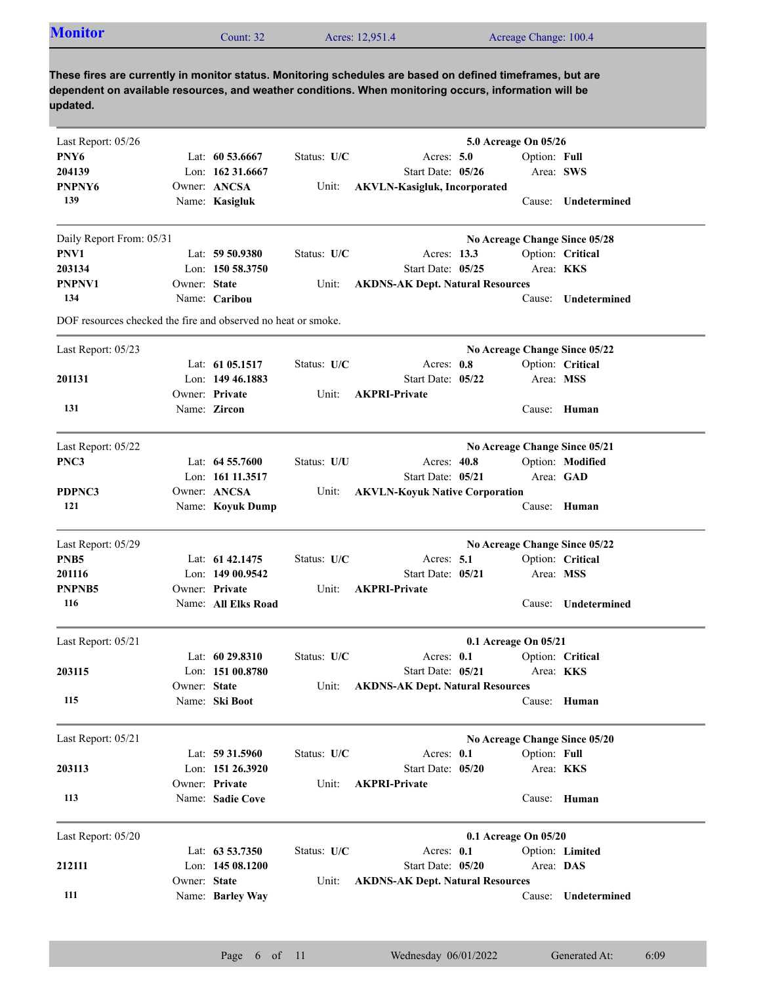| <b>Monitor</b>                                                |              | Count: 32          |             | Acres: 12,951.4                                                                                                                                                                                                     | Acreage Change: 100.4 |                               |
|---------------------------------------------------------------|--------------|--------------------|-------------|---------------------------------------------------------------------------------------------------------------------------------------------------------------------------------------------------------------------|-----------------------|-------------------------------|
| updated.                                                      |              |                    |             | These fires are currently in monitor status. Monitoring schedules are based on defined timeframes, but are<br>dependent on available resources, and weather conditions. When monitoring occurs, information will be |                       |                               |
| Last Report: 05/26                                            |              |                    |             |                                                                                                                                                                                                                     | 5.0 Acreage On 05/26  |                               |
| PNY6                                                          |              | Lat: $60\,53.6667$ | Status: U/C | Acres: $5.0$                                                                                                                                                                                                        | Option: Full          |                               |
| 204139                                                        |              | Lon: $16231.6667$  |             | Start Date: 05/26                                                                                                                                                                                                   |                       | Area: SWS                     |
| PNPNY6                                                        |              | Owner: ANCSA       | Unit:       | <b>AKVLN-Kasigluk, Incorporated</b>                                                                                                                                                                                 |                       |                               |
| 139                                                           |              | Name: Kasigluk     |             |                                                                                                                                                                                                                     | Cause:                | Undetermined                  |
| Daily Report From: 05/31                                      |              |                    |             |                                                                                                                                                                                                                     |                       | No Acreage Change Since 05/28 |
| PNV1                                                          |              | Lat: 59 50.9380    | Status: U/C | Acres: 13.3                                                                                                                                                                                                         |                       | Option: Critical              |
| 203134                                                        |              | Lon: 150 58.3750   |             | Start Date: 05/25                                                                                                                                                                                                   |                       | Area: KKS                     |
| PNPNV1                                                        | Owner: State |                    | Unit:       | <b>AKDNS-AK Dept. Natural Resources</b>                                                                                                                                                                             |                       |                               |
| 134                                                           |              | Name: Caribou      |             |                                                                                                                                                                                                                     |                       | Cause: Undetermined           |
| DOF resources checked the fire and observed no heat or smoke. |              |                    |             |                                                                                                                                                                                                                     |                       |                               |
| Last Report: 05/23                                            |              |                    |             |                                                                                                                                                                                                                     |                       | No Acreage Change Since 05/22 |
|                                                               |              | Lat: 61 05.1517    | Status: U/C | Acres: 0.8                                                                                                                                                                                                          |                       | Option: Critical              |
| 201131                                                        |              | Lon: 149 46.1883   |             | Start Date: 05/22                                                                                                                                                                                                   |                       | Area: MSS                     |
|                                                               |              | Owner: Private     | Unit:       | <b>AKPRI-Private</b>                                                                                                                                                                                                |                       |                               |

Cause: **Undetermined**

Cause: **Human**

Cause: **Human**

Area: **MSS** Option: **Critical**

Cause: **Human**

Cause: **Human**

Area: **DAS** Option: **Limited**

Area: **KKS** Option: **Full**

Area: **KKS** Option: **Critical**

Cause: **Undetermined**

Area: **GAD** Option: **Modified**

Owner: State Unit:

Name: **Zircon**

Name: **Koyuk Dump**

Name: **All Elks Road**

Lat: **60 29.8310**

Owner: State Unit:

Owner: Private Unit:

Owner: Private

Name: **Ski Boot**

Name: **Sadie Cove**

Name: **Barley Way**

Lat: **63 53.7350**

Lat: **59 31.5960**

Lat: **61 42.1475**

Owner: ANCSA Unit:

Lat: **64 55.7600**

Lon: **161 11.3517** Start Date:

Lon: **149 00.9542** Start Date:

Lon: **151 00.8780** Start Date:

Lon: **151 26.3920** Start Date:

Lon: **145 08.1200** Start Date:

Last Report: 05/20 **0.1 Acreage On 05/20**

Status: **U/C 0.1**

Last Report: 05/21 **No Acreage Change Since 05/20**

Status: **U/C 0.1**

Last Report: 05/21 **0.1 Acreage On 05/21**

Status: **U/U** 

Last Report: 05/22 **No Acreage Change Since 05/21**

Last Report: 05/29 **No Acreage Change Since 05/22**

**131**

**121 PDPNC3**

**116**

**115**

**113**

**111**

**212111**

**203113**

**203115**

**201116 PNPNB5**

**PNB5**

**PNC3**

**05/20**

**State AKDNS-AK Dept. Natural Resources**

Acres: 40.8

**05/21**

Start Date: 05/21

Acres: 0.1

**05/21**

**State AKDNS-AK Dept. Natural Resources**

Acres: 0.1

**05/20**

**ANCSA AKVLN-Koyuk Native Corporation**

Status: U/C Acres: 5.1

**Private AKPRI-Private**

Status: U/C Acres: 0.1

**Private AKPRI-Private**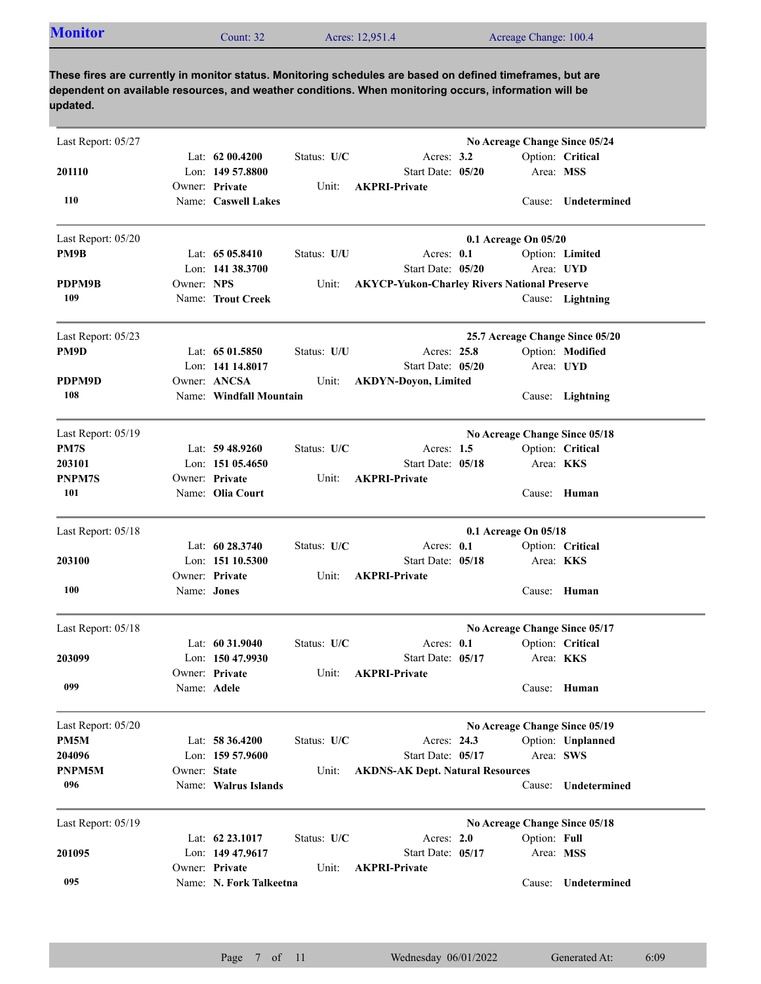| <b>Monitor</b><br>Acres: 12,951.4<br>Acreage Change: 100.4<br>ount: $32$ |
|--------------------------------------------------------------------------|
|--------------------------------------------------------------------------|

| Last Report: 05/27 |              |                         |             |                                                     |                      |              | No Acreage Change Since 05/24   |
|--------------------|--------------|-------------------------|-------------|-----------------------------------------------------|----------------------|--------------|---------------------------------|
|                    |              | Lat: 62 00.4200         | Status: U/C | Acres: $3.2$                                        |                      |              | Option: Critical                |
| 201110             |              | Lon: 149 57.8800        |             | Start Date: 05/20                                   |                      | Area: MSS    |                                 |
|                    |              | Owner: Private          | Unit:       | <b>AKPRI-Private</b>                                |                      |              |                                 |
| 110                |              | Name: Caswell Lakes     |             |                                                     |                      |              | Cause: Undetermined             |
| Last Report: 05/20 |              |                         |             |                                                     | 0.1 Acreage On 05/20 |              |                                 |
| PM9B               |              | Lat: $6505.8410$        | Status: U/U | Acres: 0.1                                          |                      |              | Option: Limited                 |
|                    |              | Lon: 141 38.3700        |             | Start Date: 05/20                                   |                      |              | Area: UYD                       |
| PDPM9B             | Owner: NPS   |                         | Unit:       | <b>AKYCP-Yukon-Charley Rivers National Preserve</b> |                      |              |                                 |
| 109                |              | Name: Trout Creek       |             |                                                     |                      |              | Cause: Lightning                |
| Last Report: 05/23 |              |                         |             |                                                     |                      |              | 25.7 Acreage Change Since 05/20 |
| PM9D               |              | Lat: $6501.5850$        | Status: U/U | Acres: 25.8                                         |                      |              | Option: Modified                |
|                    |              | Lon: 141 14.8017        |             | Start Date: 05/20                                   |                      |              | Area: UYD                       |
| PDPM9D             |              | Owner: ANCSA            | Unit:       | <b>AKDYN-Doyon, Limited</b>                         |                      |              |                                 |
| 108                |              | Name: Windfall Mountain |             |                                                     |                      | Cause:       | Lightning                       |
| Last Report: 05/19 |              |                         |             |                                                     |                      |              | No Acreage Change Since 05/18   |
| PM7S               |              | Lat: $59\,48.9260$      | Status: U/C | Acres: $1.5$                                        |                      |              | Option: Critical                |
| 203101             |              | Lon: $15105.4650$       |             | Start Date: 05/18                                   |                      |              | Area: <b>KKS</b>                |
| <b>PNPM7S</b>      |              | Owner: Private          | Unit:       | <b>AKPRI-Private</b>                                |                      |              |                                 |
| 101                |              | Name: Olia Court        |             |                                                     |                      |              | Cause: Human                    |
| Last Report: 05/18 |              |                         |             |                                                     | 0.1 Acreage On 05/18 |              |                                 |
|                    |              | Lat: 60 28.3740         | Status: U/C | Acres: 0.1                                          |                      |              | Option: Critical                |
| 203100             |              | Lon: 151 10.5300        |             | Start Date: 05/18                                   |                      |              | Area: KKS                       |
|                    |              | Owner: Private          | Unit:       | <b>AKPRI-Private</b>                                |                      |              |                                 |
| 100                | Name: Jones  |                         |             |                                                     |                      |              | Cause: Human                    |
| Last Report: 05/18 |              |                         |             |                                                     |                      |              | No Acreage Change Since 05/17   |
|                    |              | Lat: $60\,31.9040$      | Status: U/C | Acres: $0.1$                                        |                      |              | Option: Critical                |
| 203099             |              | Lon: 150 47.9930        |             | Start Date: 05/17                                   |                      |              | Area: <b>KKS</b>                |
|                    |              | Owner: Private          | Unit:       | <b>AKPRI-Private</b>                                |                      |              |                                 |
| 099                |              | Name: Adele             |             |                                                     |                      |              | Cause: Human                    |
| Last Report: 05/20 |              |                         |             |                                                     |                      |              | No Acreage Change Since 05/19   |
| PM5M               |              | Lat: 58 36.4200         | Status: U/C | Acres: 24.3                                         |                      |              | Option: Unplanned               |
| 204096             |              | Lon: 159 57.9600        |             | Start Date: 05/17                                   |                      |              | Area: SWS                       |
| PNPM5M             | Owner: State |                         | Unit:       | <b>AKDNS-AK Dept. Natural Resources</b>             |                      |              |                                 |
| 096                |              | Name: Walrus Islands    |             |                                                     |                      | Cause:       | Undetermined                    |
| Last Report: 05/19 |              |                         |             |                                                     |                      |              | No Acreage Change Since 05/18   |
|                    |              | Lat: 62 23.1017         | Status: U/C | Acres: 2.0                                          |                      | Option: Full |                                 |
| 201095             |              | Lon: 149 47.9617        |             | Start Date: 05/17                                   |                      | Area: MSS    |                                 |
|                    |              | Owner: Private          | Unit:       | <b>AKPRI-Private</b>                                |                      |              |                                 |
| 095                |              | Name: N. Fork Talkeetna |             |                                                     |                      | Cause:       | Undetermined                    |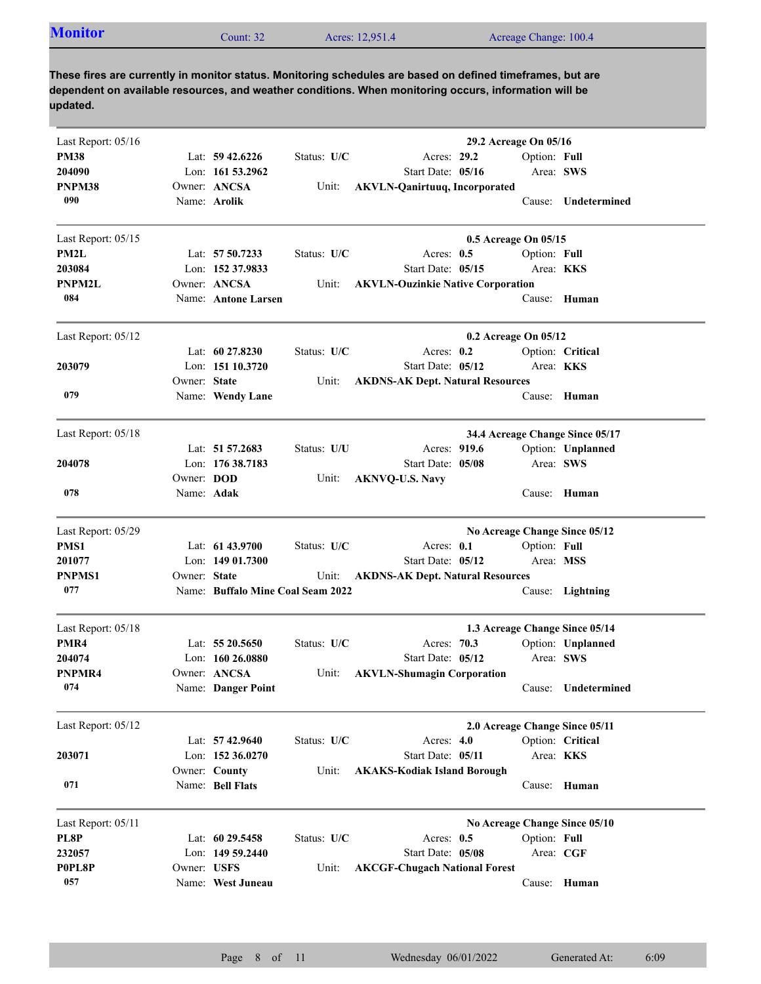| <b>Monitor</b><br>Acreage Change: 100.4<br>Acres: 12,951.4<br>Count: $32$ |  |  |  |  |  |
|---------------------------------------------------------------------------|--|--|--|--|--|
|---------------------------------------------------------------------------|--|--|--|--|--|

| Lat: $59\,42.6226$<br>Status: U/C<br>Acres: 29.2<br>Option: Full<br>Lon: 161 53.2962<br>Start Date: 05/16<br>Area: SWS<br>Owner: ANCSA<br>PNPM38<br>Unit:<br><b>AKVLN-Qanirtuuq, Incorporated</b><br>090<br>Name: Arolik<br>Cause: Undetermined<br>Last Report: 05/15<br>0.5 Acreage On 05/15<br>PM2L<br>Lat: 57 50.7233<br>Status: U/C<br>Acres: $0.5$<br>Option: Full<br>203084<br>Lon: 152 37.9833<br>Start Date: 05/15<br>Area: KKS<br>Owner: ANCSA<br><b>PNPM2L</b><br><b>AKVLN-Ouzinkie Native Corporation</b><br>Unit:<br>084<br>Name: Antone Larsen<br>Cause: Human<br>Last Report: 05/12<br>0.2 Acreage On 05/12<br>Lat: $60\,27.8230$<br>Status: U/C<br>Acres: $0.2$<br>Option: Critical<br>203079<br>Lon: 151 10.3720<br>Start Date: 05/12<br>Area: <b>KKS</b><br>Owner: State<br><b>AKDNS-AK Dept. Natural Resources</b><br>Unit:<br>079<br>Cause: Human<br>Name: Wendy Lane<br>Last Report: 05/18<br>34.4 Acreage Change Since 05/17<br>Lat: 51 57.2683<br>Status: U/U<br>Acres: 919.6<br>Option: Unplanned<br>Lon: 176 38.7183<br>Area: SWS<br>204078<br>Start Date: 05/08<br>Owner: DOD<br><b>AKNVQ-U.S. Navy</b><br>Unit:<br>078<br>Name: Adak<br>Human<br>Cause:<br>No Acreage Change Since 05/12<br>Lat: 61 43.9700<br>Status: U/C<br>Acres: 0.1<br>Option: Full<br>Start Date: 05/12<br>201077<br>Lon: $14901.7300$<br>Area: MSS<br>Owner: State<br><b>PNPMS1</b><br><b>AKDNS-AK Dept. Natural Resources</b><br>Unit:<br>077<br>Name: Buffalo Mine Coal Seam 2022<br>Cause: Lightning<br>Last Report: 05/18<br>1.3 Acreage Change Since 05/14<br>Status: U/C<br>Option: Unplanned<br>PMR4<br>Lat: $5520.5650$<br>Acres: 70.3<br>Area: SWS<br>204074<br>Lon: $160\,26.0880$<br>Start Date: 05/12<br>PNPMR4<br>Owner: ANCSA<br>Unit:<br><b>AKVLN-Shumagin Corporation</b><br>074<br>Name: Danger Point<br>Undetermined<br>Cause:<br>Last Report: 05/12<br>2.0 Acreage Change Since 05/11<br>Option: Critical<br>Lat: 57 42.9640<br>Status: U/C<br>Acres: 4.0<br>Lon: 152 36.0270<br>Start Date: 05/11<br>Area: KKS<br>Owner: County<br><b>AKAKS-Kodiak Island Borough</b><br>Unit:<br>071<br>Name: Bell Flats<br>Cause: Human<br>Last Report: 05/11<br>No Acreage Change Since 05/10<br>PL8P<br>Lat: 60 29.5458<br>Status: U/C<br>Option: Full<br>Acres: $0.5$<br>Lon: 149 59.2440<br>Start Date: 05/08<br>Area: CGF<br>232057<br>Owner: USFS<br>P0PL8P<br>Unit:<br><b>AKCGF-Chugach National Forest</b><br>057<br>Name: West Juneau<br>Cause: Human | Last Report: 05/16 |  |  | 29.2 Acreage On 05/16 |  |
|-----------------------------------------------------------------------------------------------------------------------------------------------------------------------------------------------------------------------------------------------------------------------------------------------------------------------------------------------------------------------------------------------------------------------------------------------------------------------------------------------------------------------------------------------------------------------------------------------------------------------------------------------------------------------------------------------------------------------------------------------------------------------------------------------------------------------------------------------------------------------------------------------------------------------------------------------------------------------------------------------------------------------------------------------------------------------------------------------------------------------------------------------------------------------------------------------------------------------------------------------------------------------------------------------------------------------------------------------------------------------------------------------------------------------------------------------------------------------------------------------------------------------------------------------------------------------------------------------------------------------------------------------------------------------------------------------------------------------------------------------------------------------------------------------------------------------------------------------------------------------------------------------------------------------------------------------------------------------------------------------------------------------------------------------------------------------------------------------------------------------------------------------------------------------------------------------------------------------------------------------------------------------------------------------------------------------------------------------------------------------------------------------------------------------------------------------------------------------|--------------------|--|--|-----------------------|--|
|                                                                                                                                                                                                                                                                                                                                                                                                                                                                                                                                                                                                                                                                                                                                                                                                                                                                                                                                                                                                                                                                                                                                                                                                                                                                                                                                                                                                                                                                                                                                                                                                                                                                                                                                                                                                                                                                                                                                                                                                                                                                                                                                                                                                                                                                                                                                                                                                                                                                       | <b>PM38</b>        |  |  |                       |  |
|                                                                                                                                                                                                                                                                                                                                                                                                                                                                                                                                                                                                                                                                                                                                                                                                                                                                                                                                                                                                                                                                                                                                                                                                                                                                                                                                                                                                                                                                                                                                                                                                                                                                                                                                                                                                                                                                                                                                                                                                                                                                                                                                                                                                                                                                                                                                                                                                                                                                       | 204090             |  |  |                       |  |
|                                                                                                                                                                                                                                                                                                                                                                                                                                                                                                                                                                                                                                                                                                                                                                                                                                                                                                                                                                                                                                                                                                                                                                                                                                                                                                                                                                                                                                                                                                                                                                                                                                                                                                                                                                                                                                                                                                                                                                                                                                                                                                                                                                                                                                                                                                                                                                                                                                                                       |                    |  |  |                       |  |
|                                                                                                                                                                                                                                                                                                                                                                                                                                                                                                                                                                                                                                                                                                                                                                                                                                                                                                                                                                                                                                                                                                                                                                                                                                                                                                                                                                                                                                                                                                                                                                                                                                                                                                                                                                                                                                                                                                                                                                                                                                                                                                                                                                                                                                                                                                                                                                                                                                                                       |                    |  |  |                       |  |
|                                                                                                                                                                                                                                                                                                                                                                                                                                                                                                                                                                                                                                                                                                                                                                                                                                                                                                                                                                                                                                                                                                                                                                                                                                                                                                                                                                                                                                                                                                                                                                                                                                                                                                                                                                                                                                                                                                                                                                                                                                                                                                                                                                                                                                                                                                                                                                                                                                                                       |                    |  |  |                       |  |
|                                                                                                                                                                                                                                                                                                                                                                                                                                                                                                                                                                                                                                                                                                                                                                                                                                                                                                                                                                                                                                                                                                                                                                                                                                                                                                                                                                                                                                                                                                                                                                                                                                                                                                                                                                                                                                                                                                                                                                                                                                                                                                                                                                                                                                                                                                                                                                                                                                                                       |                    |  |  |                       |  |
|                                                                                                                                                                                                                                                                                                                                                                                                                                                                                                                                                                                                                                                                                                                                                                                                                                                                                                                                                                                                                                                                                                                                                                                                                                                                                                                                                                                                                                                                                                                                                                                                                                                                                                                                                                                                                                                                                                                                                                                                                                                                                                                                                                                                                                                                                                                                                                                                                                                                       |                    |  |  |                       |  |
|                                                                                                                                                                                                                                                                                                                                                                                                                                                                                                                                                                                                                                                                                                                                                                                                                                                                                                                                                                                                                                                                                                                                                                                                                                                                                                                                                                                                                                                                                                                                                                                                                                                                                                                                                                                                                                                                                                                                                                                                                                                                                                                                                                                                                                                                                                                                                                                                                                                                       |                    |  |  |                       |  |
|                                                                                                                                                                                                                                                                                                                                                                                                                                                                                                                                                                                                                                                                                                                                                                                                                                                                                                                                                                                                                                                                                                                                                                                                                                                                                                                                                                                                                                                                                                                                                                                                                                                                                                                                                                                                                                                                                                                                                                                                                                                                                                                                                                                                                                                                                                                                                                                                                                                                       |                    |  |  |                       |  |
|                                                                                                                                                                                                                                                                                                                                                                                                                                                                                                                                                                                                                                                                                                                                                                                                                                                                                                                                                                                                                                                                                                                                                                                                                                                                                                                                                                                                                                                                                                                                                                                                                                                                                                                                                                                                                                                                                                                                                                                                                                                                                                                                                                                                                                                                                                                                                                                                                                                                       |                    |  |  |                       |  |
|                                                                                                                                                                                                                                                                                                                                                                                                                                                                                                                                                                                                                                                                                                                                                                                                                                                                                                                                                                                                                                                                                                                                                                                                                                                                                                                                                                                                                                                                                                                                                                                                                                                                                                                                                                                                                                                                                                                                                                                                                                                                                                                                                                                                                                                                                                                                                                                                                                                                       |                    |  |  |                       |  |
|                                                                                                                                                                                                                                                                                                                                                                                                                                                                                                                                                                                                                                                                                                                                                                                                                                                                                                                                                                                                                                                                                                                                                                                                                                                                                                                                                                                                                                                                                                                                                                                                                                                                                                                                                                                                                                                                                                                                                                                                                                                                                                                                                                                                                                                                                                                                                                                                                                                                       |                    |  |  |                       |  |
|                                                                                                                                                                                                                                                                                                                                                                                                                                                                                                                                                                                                                                                                                                                                                                                                                                                                                                                                                                                                                                                                                                                                                                                                                                                                                                                                                                                                                                                                                                                                                                                                                                                                                                                                                                                                                                                                                                                                                                                                                                                                                                                                                                                                                                                                                                                                                                                                                                                                       |                    |  |  |                       |  |
|                                                                                                                                                                                                                                                                                                                                                                                                                                                                                                                                                                                                                                                                                                                                                                                                                                                                                                                                                                                                                                                                                                                                                                                                                                                                                                                                                                                                                                                                                                                                                                                                                                                                                                                                                                                                                                                                                                                                                                                                                                                                                                                                                                                                                                                                                                                                                                                                                                                                       |                    |  |  |                       |  |
|                                                                                                                                                                                                                                                                                                                                                                                                                                                                                                                                                                                                                                                                                                                                                                                                                                                                                                                                                                                                                                                                                                                                                                                                                                                                                                                                                                                                                                                                                                                                                                                                                                                                                                                                                                                                                                                                                                                                                                                                                                                                                                                                                                                                                                                                                                                                                                                                                                                                       |                    |  |  |                       |  |
|                                                                                                                                                                                                                                                                                                                                                                                                                                                                                                                                                                                                                                                                                                                                                                                                                                                                                                                                                                                                                                                                                                                                                                                                                                                                                                                                                                                                                                                                                                                                                                                                                                                                                                                                                                                                                                                                                                                                                                                                                                                                                                                                                                                                                                                                                                                                                                                                                                                                       |                    |  |  |                       |  |
|                                                                                                                                                                                                                                                                                                                                                                                                                                                                                                                                                                                                                                                                                                                                                                                                                                                                                                                                                                                                                                                                                                                                                                                                                                                                                                                                                                                                                                                                                                                                                                                                                                                                                                                                                                                                                                                                                                                                                                                                                                                                                                                                                                                                                                                                                                                                                                                                                                                                       |                    |  |  |                       |  |
|                                                                                                                                                                                                                                                                                                                                                                                                                                                                                                                                                                                                                                                                                                                                                                                                                                                                                                                                                                                                                                                                                                                                                                                                                                                                                                                                                                                                                                                                                                                                                                                                                                                                                                                                                                                                                                                                                                                                                                                                                                                                                                                                                                                                                                                                                                                                                                                                                                                                       |                    |  |  |                       |  |
|                                                                                                                                                                                                                                                                                                                                                                                                                                                                                                                                                                                                                                                                                                                                                                                                                                                                                                                                                                                                                                                                                                                                                                                                                                                                                                                                                                                                                                                                                                                                                                                                                                                                                                                                                                                                                                                                                                                                                                                                                                                                                                                                                                                                                                                                                                                                                                                                                                                                       |                    |  |  |                       |  |
|                                                                                                                                                                                                                                                                                                                                                                                                                                                                                                                                                                                                                                                                                                                                                                                                                                                                                                                                                                                                                                                                                                                                                                                                                                                                                                                                                                                                                                                                                                                                                                                                                                                                                                                                                                                                                                                                                                                                                                                                                                                                                                                                                                                                                                                                                                                                                                                                                                                                       |                    |  |  |                       |  |
|                                                                                                                                                                                                                                                                                                                                                                                                                                                                                                                                                                                                                                                                                                                                                                                                                                                                                                                                                                                                                                                                                                                                                                                                                                                                                                                                                                                                                                                                                                                                                                                                                                                                                                                                                                                                                                                                                                                                                                                                                                                                                                                                                                                                                                                                                                                                                                                                                                                                       | Last Report: 05/29 |  |  |                       |  |
|                                                                                                                                                                                                                                                                                                                                                                                                                                                                                                                                                                                                                                                                                                                                                                                                                                                                                                                                                                                                                                                                                                                                                                                                                                                                                                                                                                                                                                                                                                                                                                                                                                                                                                                                                                                                                                                                                                                                                                                                                                                                                                                                                                                                                                                                                                                                                                                                                                                                       | PMS1               |  |  |                       |  |
|                                                                                                                                                                                                                                                                                                                                                                                                                                                                                                                                                                                                                                                                                                                                                                                                                                                                                                                                                                                                                                                                                                                                                                                                                                                                                                                                                                                                                                                                                                                                                                                                                                                                                                                                                                                                                                                                                                                                                                                                                                                                                                                                                                                                                                                                                                                                                                                                                                                                       |                    |  |  |                       |  |
|                                                                                                                                                                                                                                                                                                                                                                                                                                                                                                                                                                                                                                                                                                                                                                                                                                                                                                                                                                                                                                                                                                                                                                                                                                                                                                                                                                                                                                                                                                                                                                                                                                                                                                                                                                                                                                                                                                                                                                                                                                                                                                                                                                                                                                                                                                                                                                                                                                                                       |                    |  |  |                       |  |
|                                                                                                                                                                                                                                                                                                                                                                                                                                                                                                                                                                                                                                                                                                                                                                                                                                                                                                                                                                                                                                                                                                                                                                                                                                                                                                                                                                                                                                                                                                                                                                                                                                                                                                                                                                                                                                                                                                                                                                                                                                                                                                                                                                                                                                                                                                                                                                                                                                                                       |                    |  |  |                       |  |
|                                                                                                                                                                                                                                                                                                                                                                                                                                                                                                                                                                                                                                                                                                                                                                                                                                                                                                                                                                                                                                                                                                                                                                                                                                                                                                                                                                                                                                                                                                                                                                                                                                                                                                                                                                                                                                                                                                                                                                                                                                                                                                                                                                                                                                                                                                                                                                                                                                                                       |                    |  |  |                       |  |
|                                                                                                                                                                                                                                                                                                                                                                                                                                                                                                                                                                                                                                                                                                                                                                                                                                                                                                                                                                                                                                                                                                                                                                                                                                                                                                                                                                                                                                                                                                                                                                                                                                                                                                                                                                                                                                                                                                                                                                                                                                                                                                                                                                                                                                                                                                                                                                                                                                                                       |                    |  |  |                       |  |
|                                                                                                                                                                                                                                                                                                                                                                                                                                                                                                                                                                                                                                                                                                                                                                                                                                                                                                                                                                                                                                                                                                                                                                                                                                                                                                                                                                                                                                                                                                                                                                                                                                                                                                                                                                                                                                                                                                                                                                                                                                                                                                                                                                                                                                                                                                                                                                                                                                                                       |                    |  |  |                       |  |
|                                                                                                                                                                                                                                                                                                                                                                                                                                                                                                                                                                                                                                                                                                                                                                                                                                                                                                                                                                                                                                                                                                                                                                                                                                                                                                                                                                                                                                                                                                                                                                                                                                                                                                                                                                                                                                                                                                                                                                                                                                                                                                                                                                                                                                                                                                                                                                                                                                                                       |                    |  |  |                       |  |
|                                                                                                                                                                                                                                                                                                                                                                                                                                                                                                                                                                                                                                                                                                                                                                                                                                                                                                                                                                                                                                                                                                                                                                                                                                                                                                                                                                                                                                                                                                                                                                                                                                                                                                                                                                                                                                                                                                                                                                                                                                                                                                                                                                                                                                                                                                                                                                                                                                                                       |                    |  |  |                       |  |
|                                                                                                                                                                                                                                                                                                                                                                                                                                                                                                                                                                                                                                                                                                                                                                                                                                                                                                                                                                                                                                                                                                                                                                                                                                                                                                                                                                                                                                                                                                                                                                                                                                                                                                                                                                                                                                                                                                                                                                                                                                                                                                                                                                                                                                                                                                                                                                                                                                                                       |                    |  |  |                       |  |
|                                                                                                                                                                                                                                                                                                                                                                                                                                                                                                                                                                                                                                                                                                                                                                                                                                                                                                                                                                                                                                                                                                                                                                                                                                                                                                                                                                                                                                                                                                                                                                                                                                                                                                                                                                                                                                                                                                                                                                                                                                                                                                                                                                                                                                                                                                                                                                                                                                                                       |                    |  |  |                       |  |
|                                                                                                                                                                                                                                                                                                                                                                                                                                                                                                                                                                                                                                                                                                                                                                                                                                                                                                                                                                                                                                                                                                                                                                                                                                                                                                                                                                                                                                                                                                                                                                                                                                                                                                                                                                                                                                                                                                                                                                                                                                                                                                                                                                                                                                                                                                                                                                                                                                                                       | 203071             |  |  |                       |  |
|                                                                                                                                                                                                                                                                                                                                                                                                                                                                                                                                                                                                                                                                                                                                                                                                                                                                                                                                                                                                                                                                                                                                                                                                                                                                                                                                                                                                                                                                                                                                                                                                                                                                                                                                                                                                                                                                                                                                                                                                                                                                                                                                                                                                                                                                                                                                                                                                                                                                       |                    |  |  |                       |  |
|                                                                                                                                                                                                                                                                                                                                                                                                                                                                                                                                                                                                                                                                                                                                                                                                                                                                                                                                                                                                                                                                                                                                                                                                                                                                                                                                                                                                                                                                                                                                                                                                                                                                                                                                                                                                                                                                                                                                                                                                                                                                                                                                                                                                                                                                                                                                                                                                                                                                       |                    |  |  |                       |  |
|                                                                                                                                                                                                                                                                                                                                                                                                                                                                                                                                                                                                                                                                                                                                                                                                                                                                                                                                                                                                                                                                                                                                                                                                                                                                                                                                                                                                                                                                                                                                                                                                                                                                                                                                                                                                                                                                                                                                                                                                                                                                                                                                                                                                                                                                                                                                                                                                                                                                       |                    |  |  |                       |  |
|                                                                                                                                                                                                                                                                                                                                                                                                                                                                                                                                                                                                                                                                                                                                                                                                                                                                                                                                                                                                                                                                                                                                                                                                                                                                                                                                                                                                                                                                                                                                                                                                                                                                                                                                                                                                                                                                                                                                                                                                                                                                                                                                                                                                                                                                                                                                                                                                                                                                       |                    |  |  |                       |  |
|                                                                                                                                                                                                                                                                                                                                                                                                                                                                                                                                                                                                                                                                                                                                                                                                                                                                                                                                                                                                                                                                                                                                                                                                                                                                                                                                                                                                                                                                                                                                                                                                                                                                                                                                                                                                                                                                                                                                                                                                                                                                                                                                                                                                                                                                                                                                                                                                                                                                       |                    |  |  |                       |  |
|                                                                                                                                                                                                                                                                                                                                                                                                                                                                                                                                                                                                                                                                                                                                                                                                                                                                                                                                                                                                                                                                                                                                                                                                                                                                                                                                                                                                                                                                                                                                                                                                                                                                                                                                                                                                                                                                                                                                                                                                                                                                                                                                                                                                                                                                                                                                                                                                                                                                       |                    |  |  |                       |  |
|                                                                                                                                                                                                                                                                                                                                                                                                                                                                                                                                                                                                                                                                                                                                                                                                                                                                                                                                                                                                                                                                                                                                                                                                                                                                                                                                                                                                                                                                                                                                                                                                                                                                                                                                                                                                                                                                                                                                                                                                                                                                                                                                                                                                                                                                                                                                                                                                                                                                       |                    |  |  |                       |  |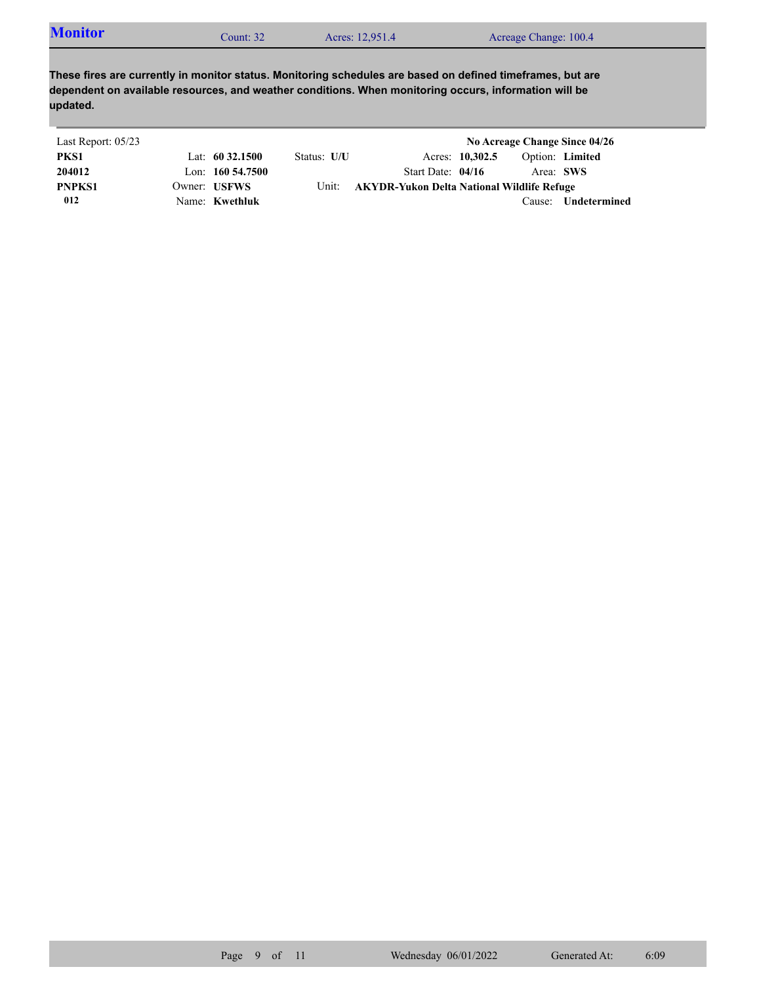| <b>Monitor</b> | $\mathcal$ Count: 32 | Acres: 12,951.4 | Acreage Change: 100.4 |
|----------------|----------------------|-----------------|-----------------------|
|----------------|----------------------|-----------------|-----------------------|

| Last Report: 05/23 |                     |             |                                            |                 |           | No Acreage Change Since 04/26 |
|--------------------|---------------------|-------------|--------------------------------------------|-----------------|-----------|-------------------------------|
| PKS1               | Lat: $60\,32.1500$  | Status: U/U |                                            | Acres: 10,302.5 |           | Option: Limited               |
| 204012             | Lon: $160\,54.7500$ |             | Start Date: $04/16$                        |                 | Area: SWS |                               |
| <b>PNPKS1</b>      | Owner: USFWS        | Unit:       | AKYDR-Yukon Delta National Wildlife Refuge |                 |           |                               |
| 012                | Name: Kwethluk      |             |                                            |                 | Cause:    | Undetermined                  |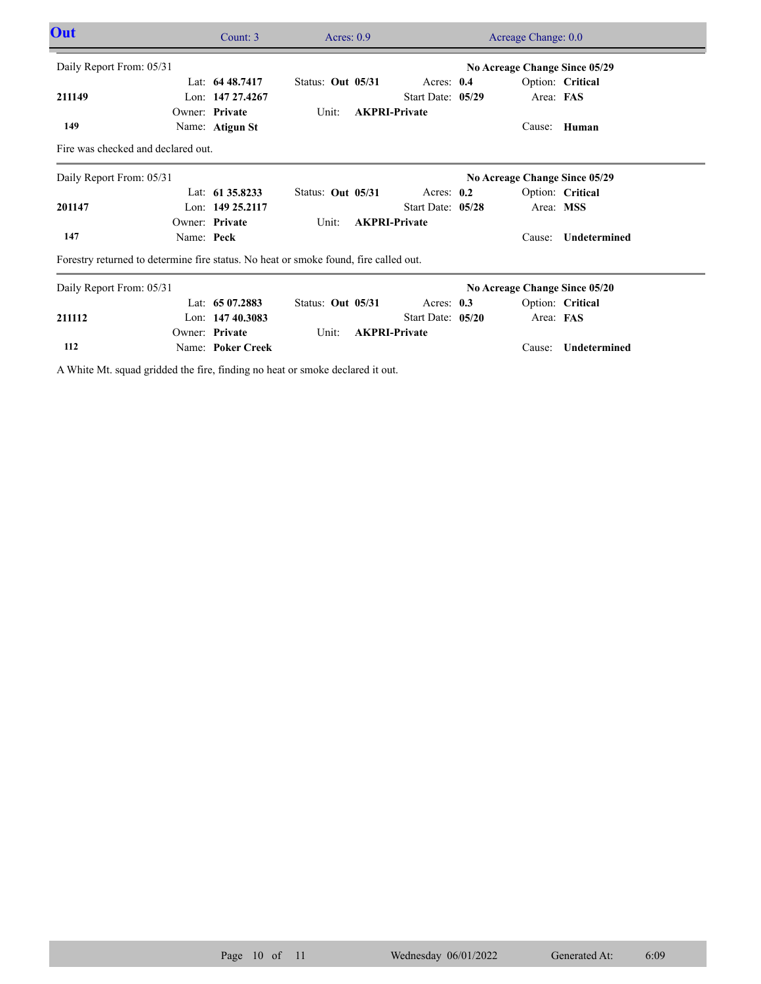| Out                                                                                  |            | Count: $3$        | Acres: $0.9$      | Acreage Change: 0.0  |                               |                               |                     |  |
|--------------------------------------------------------------------------------------|------------|-------------------|-------------------|----------------------|-------------------------------|-------------------------------|---------------------|--|
| Daily Report From: 05/31                                                             |            |                   |                   |                      |                               | No Acreage Change Since 05/29 |                     |  |
|                                                                                      |            | Lat: 64 48.7417   | Status: Out 05/31 | Acres: 0.4           |                               |                               | Option: Critical    |  |
| 211149                                                                               |            | Lon: 147 27.4267  |                   | Start Date: 05/29    |                               | Area: FAS                     |                     |  |
|                                                                                      |            | Owner: Private    | Unit:             | <b>AKPRI-Private</b> |                               |                               |                     |  |
| 149                                                                                  |            | Name: Atigun St   |                   |                      |                               | Cause:                        | Human               |  |
| Fire was checked and declared out.                                                   |            |                   |                   |                      |                               |                               |                     |  |
| Daily Report From: 05/31                                                             |            |                   |                   |                      | No Acreage Change Since 05/29 |                               |                     |  |
|                                                                                      |            | Lat: 61 35.8233   | Status: Out 05/31 | Acres: $0.2$         |                               |                               | Option: Critical    |  |
| 201147                                                                               |            | Lon: 149 25.2117  |                   | Start Date: 05/28    |                               | Area: MSS                     |                     |  |
|                                                                                      |            | Owner: Private    | Unit:             | <b>AKPRI-Private</b> |                               |                               |                     |  |
| 147                                                                                  | Name: Peck |                   |                   |                      |                               | Cause:                        | Undetermined        |  |
| Forestry returned to determine fire status. No heat or smoke found, fire called out. |            |                   |                   |                      |                               |                               |                     |  |
| Daily Report From: 05/31                                                             |            |                   |                   |                      | No Acreage Change Since 05/20 |                               |                     |  |
|                                                                                      |            | Lat: 65 07.2883   | Status: Out 05/31 | Acres: $0.3$         |                               |                               | Option: Critical    |  |
| 211112                                                                               |            | Lon: $14740.3083$ |                   | Start Date: 05/20    |                               | Area: FAS                     |                     |  |
|                                                                                      |            | Owner: Private    | Unit:             | <b>AKPRI-Private</b> |                               |                               |                     |  |
| 112                                                                                  |            | Name: Poker Creek |                   |                      |                               | Cause:                        | <b>Undetermined</b> |  |
|                                                                                      |            |                   |                   |                      |                               |                               |                     |  |

A White Mt. squad gridded the fire, finding no heat or smoke declared it out.